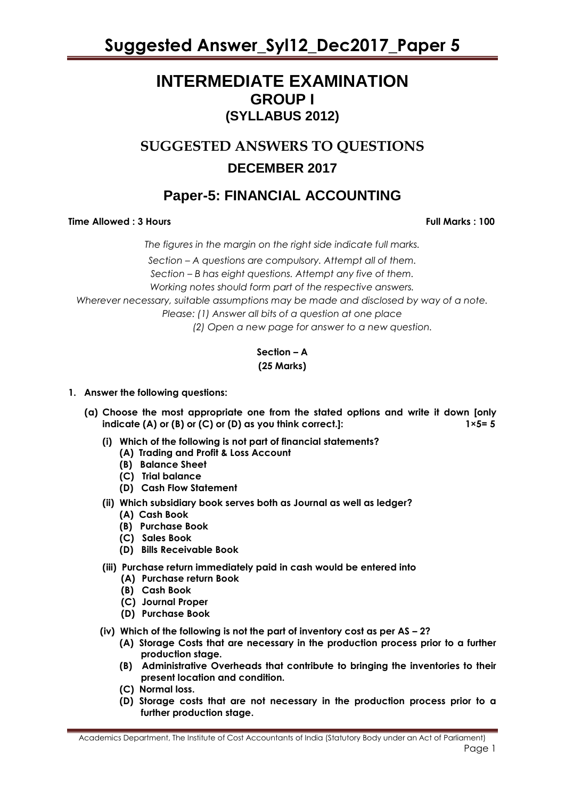### **INTERMEDIATE EXAMINATION GROUP I (SYLLABUS 2012)**

### **SUGGESTED ANSWERS TO QUESTIONS DECEMBER 2017**

### **Paper-5: FINANCIAL ACCOUNTING**

### **Time Allowed : 3 Hours Full Marks Full Marks : 100**

*The figures in the margin on the right side indicate full marks. Section – A questions are compulsory. Attempt all of them. Section – B has eight questions. Attempt any five of them. Working notes should form part of the respective answers. Wherever necessary, suitable assumptions may be made and disclosed by way of a note. Please: (1) Answer all bits of a question at one place (2) Open a new page for answer to a new question.*

### **Section – A (25 Marks)**

### **1. Answer the following questions:**

- **(a) Choose the most appropriate one from the stated options and write it down [only indicate (A) or (B) or (C) or (D) as you think correct.]: 1×5= 5**
	- **(i) Which of the following is not part of financial statements?**
		- **(A) Trading and Profit & Loss Account**
		- **(B) Balance Sheet**
		- **(C) Trial balance**
		- **(D) Cash Flow Statement**
	- **(ii) Which subsidiary book serves both as Journal as well as ledger?**
		- **(A) Cash Book**
		- **(B) Purchase Book**
		- **(C) Sales Book**
		- **(D) Bills Receivable Book**
	- **(iii) Purchase return immediately paid in cash would be entered into**
		- **(A) Purchase return Book**
		- **(B) Cash Book**
		- **(C) Journal Proper**
		- **(D) Purchase Book**
	- **(iv) Which of the following is not the part of inventory cost as per AS – 2?**
		- **(A) Storage Costs that are necessary in the production process prior to a further production stage.**
		- **(B) Administrative Overheads that contribute to bringing the inventories to their present location and condition.**
		- **(C) Normal loss.**
		- **(D) Storage costs that are not necessary in the production process prior to a further production stage.**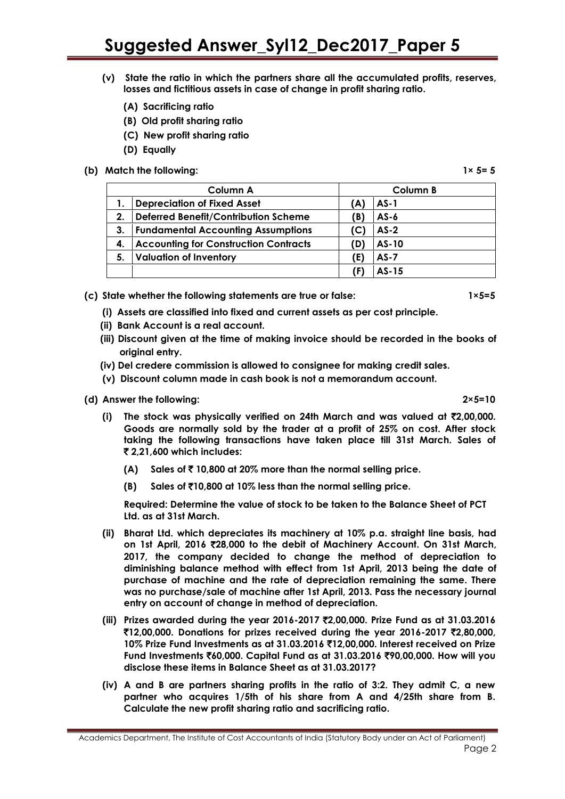- **(v) State the ratio in which the partners share all the accumulated profits, reserves, losses and fictitious assets in case of change in profit sharing ratio.**
	- **(A) Sacrificing ratio**
	- **(B) Old profit sharing ratio**
	- **(C) New profit sharing ratio**
	- **(D) Equally**
- **(b) Match the following: 1× 5= 5**

**Column A Column B 1. Depreciation of Fixed Asset (A) AS-1 2. Deferred Benefit/Contribution Scheme (B) AS-6 3. Fundamental Accounting Assumptions (C) AS-2 4. Accounting for Construction Contracts (D) AS-10 5. Valuation of Inventory (E) AS-7 (F) AS-15**

**(c) State whether the following statements are true or false: 1×5=5**

- **(i) Assets are classified into fixed and current assets as per cost principle.**
- **(ii) Bank Account is a real account.**
- **(iii) Discount given at the time of making invoice should be recorded in the books of original entry.**
- **(iv) Del credere commission is allowed to consignee for making credit sales.**
- **(v) Discount column made in cash book is not a memorandum account.**

#### **(d) Answer the following: 2×5=10**

**(i) The stock was physically verified on 24th March and was valued at** `**2,00,000. Goods are normally sold by the trader at a profit of 25% on cost. After stock taking the following transactions have taken place till 31st March. Sales of**  ` **2,21,600 which includes:**

- **(A) Sales of** ` **10,800 at 20% more than the normal selling price.**
- **(B) Sales of** `**10,800 at 10% less than the normal selling price.**

**Required: Determine the value of stock to be taken to the Balance Sheet of PCT Ltd. as at 31st March.**

- **(ii) Bharat Ltd. which depreciates its machinery at 10% p.a. straight line basis, had on 1st April, 2016** `**28,000 to the debit of Machinery Account. On 31st March, 2017, the company decided to change the method of depreciation to diminishing balance method with effect from 1st April, 2013 being the date of purchase of machine and the rate of depreciation remaining the same. There was no purchase/sale of machine after 1st April, 2013. Pass the necessary journal entry on account of change in method of depreciation.**
- **(iii) Prizes awarded during the year 2016-2017** `**2,00,000. Prize Fund as at 31.03.2016**  `**12,00,000. Donations for prizes received during the year 2016-2017** `**2,80,000, 10% Prize Fund Investments as at 31.03.2016** `**12,00,000. Interest received on Prize Fund Investments** `**60,000. Capital Fund as at 31.03.2016** `**90,00,000. How will you disclose these items in Balance Sheet as at 31.03.2017?**
- **(iv) A and B are partners sharing profits in the ratio of 3:2. They admit C, a new partner who acquires 1/5th of his share from A and 4/25th share from B. Calculate the new profit sharing ratio and sacrificing ratio.**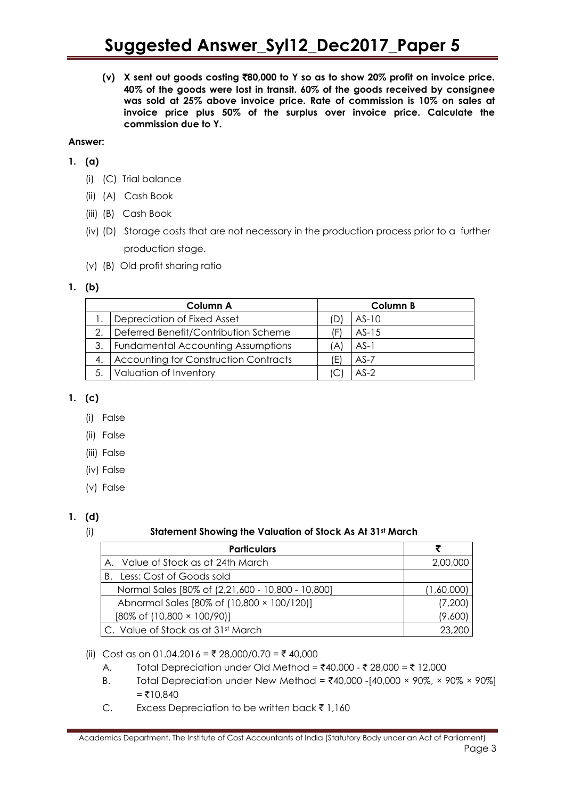**(v) X sent out goods costing** `**80,000 to Y so as to show 20% profit on invoice price. 40% of the goods were lost in transit. 60% of the goods received by consignee was sold at 25% above invoice price. Rate of commission is 10% on sales at invoice price plus 50% of the surplus over invoice price. Calculate the commission due to Y.**

### **Answer:**

- **1. (a)** 
	- (i) (C) Trial balance
	- (ii) (A) Cash Book
	- (iii) (B) Cash Book
	- (iv) (D) Storage costs that are not necessary in the production process prior to a further production stage.
	- (v) (B) Old profit sharing ratio

### **1. (b)**

|    | Column A                                     |     | Column B |  |
|----|----------------------------------------------|-----|----------|--|
|    | Depreciation of Fixed Asset                  | (D) | $AS-10$  |  |
| 2. | Deferred Benefit/Contribution Scheme         | (F) | $AS-15$  |  |
| 3. | <b>Fundamental Accounting Assumptions</b>    | (A) | $AS-1$   |  |
| 4. | <b>Accounting for Construction Contracts</b> | (E) | $AS-7$   |  |
| 5. | Valuation of Inventory                       |     | $AS-2$   |  |

### **1. (c)**

- (i) False
- (ii) False
- (iii) False
- (iv) False
- (v) False

### **1. (d)**

### (i) **Statement Showing the Valuation of Stock As At 31st March**

| <b>Particulars</b>                                |            |
|---------------------------------------------------|------------|
| A. Value of Stock as at 24th March                | 2,00,000   |
| Less: Cost of Goods sold<br>В.                    |            |
| Normal Sales [80% of (2,21,600 - 10,800 - 10,800] | (1,60,000) |
| Abnormal Sales [80% of (10,800 × 100/120)]        | (7,200)    |
| $[80\% \text{ of } (10,800 \times 100/90)]$       | (9,600)    |
| C. Value of Stock as at 31st March                | 23.200     |

(ii) Cost as on 01.04.2016 = ₹ 28,000/0.70 = ₹ 40,000

- A. Total Depreciation under Old Method =  $\bar{x}$ 40,000  $\bar{x}$  28,000 =  $\bar{x}$  12,000
- B. Total Depreciation under New Method =  $\text{\textdegree}40,000$  -[40,000 × 90%, × 90% × 90%]  $= ₹10.840$
- C. Excess Depreciation to be written back  $\bar{z}$  1,160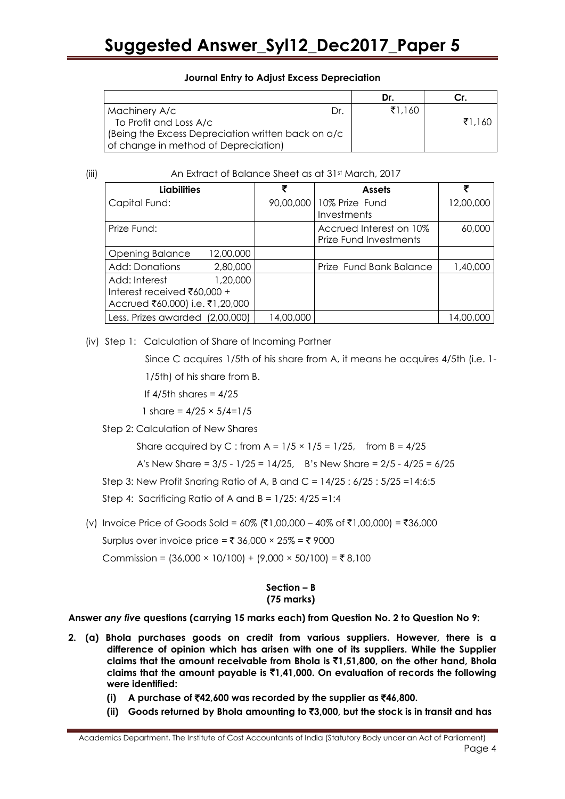### **Journal Entry to Adjust Excess Depreciation**

|                                                     |    | Dr.    |        |
|-----------------------------------------------------|----|--------|--------|
| Machinery A/c                                       | Dr | ₹1.160 |        |
| To Profit and Loss A/c                              |    |        | ₹1.160 |
| (Being the Excess Depreciation written back on a/c) |    |        |        |
| of change in method of Depreciation)                |    |        |        |

(iii) An Extract of Balance Sheet as at 31st March, 2017

| <b>Liabilities</b>                  | ₹         | <b>Assets</b>                                     |           |
|-------------------------------------|-----------|---------------------------------------------------|-----------|
| Capital Fund:                       |           | 90,00,000   10% Prize Fund<br>Investments         | 12,00,000 |
| Prize Fund:                         |           | Accrued Interest on 10%<br>Prize Fund Investments | 60,000    |
| <b>Opening Balance</b><br>12,00,000 |           |                                                   |           |
| 2,80,000<br>Add: Donations          |           | Prize Fund Bank Balance                           | 1,40,000  |
| 1,20,000<br>Add: Interest           |           |                                                   |           |
| Interest received ₹60,000 +         |           |                                                   |           |
| Accrued ₹60,000) i.e. ₹1,20,000     |           |                                                   |           |
| Less. Prizes awarded (2,00,000)     | 14,00,000 |                                                   | 14,00,000 |

(iv) Step 1: Calculation of Share of Incoming Partner

Since C acquires 1/5th of his share from A, it means he acquires 4/5th (i.e. 1- 1/5th) of his share from B.

- If  $4/5$ th shares =  $4/25$
- 1 share =  $4/25 \times 5/4=1/5$

Step 2: Calculation of New Shares

Share acquired by C : from  $A = 1/5 \times 1/5 = 1/25$ , from  $B = 4/25$ 

A's New Share =  $3/5 - 1/25 = 14/25$ , B's New Share =  $2/5 - 4/25 = 6/25$ 

Step 3: New Profit Snaring Ratio of A, B and C = 14/25 : 6/25 : 5/25 =14:6:5

Step 4: Sacrificing Ratio of A and  $B = 1/25$ :  $4/25 = 1:4$ 

(v) Invoice Price of Goods Sold = 60% (₹1,00,000 – 40% of ₹1,00,000) = ₹36,000

Surplus over invoice price =  $\overline{\xi}$  36,000 × 25% =  $\overline{\xi}$  9000

Commission =  $(36,000 \times 10/100) + (9,000 \times 50/100) = ₹8,100$ 

### **Section – B (75 marks)**

**Answer** *any five* **questions (carrying 15 marks each) from Question No. 2 to Question No 9:** 

- **2. (a) Bhola purchases goods on credit from various suppliers. However, there is a difference of opinion which has arisen with one of its suppliers. While the Supplier claims that the amount receivable from Bhola is** `**1,51,800, on the other hand, Bhola claims that the amount payable is** `**1,41,000. On evaluation of records the following were identified:**
	- **(i) A purchase of** `**42,600 was recorded by the supplier as** `**46,800.**
	- **(ii) Goods returned by Bhola amounting to** `**3,000, but the stock is in transit and has**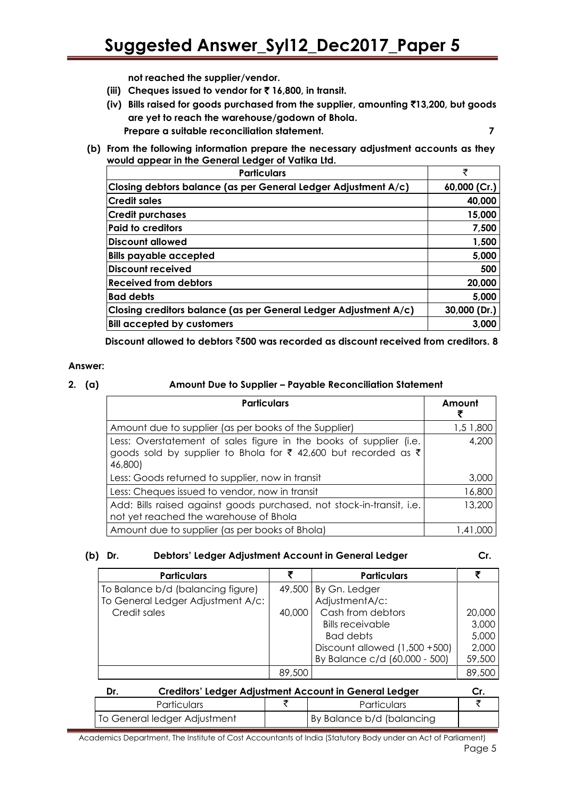**not reached the supplier/vendor.**

- **(iii) Cheques issued to vendor for** ` **16,800, in transit.**
- **(iv) Bills raised for goods purchased from the supplier, amounting** `**13,200, but goods are yet to reach the warehouse/godown of Bhola. Prepare a suitable reconciliation statement. 7**
- **(b) From the following information prepare the necessary adjustment accounts as they would appear in the General Ledger of Vatika Ltd.**

| <b>Particulars</b>                                               | ₹            |
|------------------------------------------------------------------|--------------|
| Closing debtors balance (as per General Ledger Adjustment A/c)   | 60,000 (Cr.) |
| Credit sales                                                     | 40,000       |
| <b>Credit purchases</b>                                          | 15,000       |
| <b>Paid to creditors</b>                                         | 7,500        |
| Discount allowed                                                 | 1,500        |
| <b>Bills payable accepted</b>                                    | 5,000        |
| Discount received                                                | 500          |
| <b>Received from debtors</b>                                     | 20,000       |
| <b>Bad debts</b>                                                 | 5,000        |
| Closing creditors balance (as per General Ledger Adjustment A/c) | 30,000 (Dr.) |
| <b>Bill accepted by customers</b>                                | 3,000        |

**Discount allowed to debtors** `**500 was recorded as discount received from creditors. 8**

### **Answer:**

### **2. (a) Amount Due to Supplier – Payable Reconciliation Statement**

| <b>Particulars</b>                                                                                                                              | Amount    |
|-------------------------------------------------------------------------------------------------------------------------------------------------|-----------|
| Amount due to supplier (as per books of the Supplier)                                                                                           | 1,5 1,800 |
| Less: Overstatement of sales figure in the books of supplier (i.e.<br>goods sold by supplier to Bhola for ₹ 42,600 but recorded as ₹<br>46,800) | 4,200     |
| Less: Goods returned to supplier, now in transit                                                                                                | 3,000     |
| Less: Cheques issued to vendor, now in transit                                                                                                  | 16,800    |
| Add: Bills raised against goods purchased, not stock-in-transit, i.e.<br>not yet reached the warehouse of Bhola                                 | 13,200    |
| Amount due to supplier (as per books of Bhola)                                                                                                  | 1.41.000  |

### **(b) Dr. Debtors' Ledger Adjustment Account in General Ledger Cr.**

| <b>Particulars</b>                |        | <b>Particulars</b>               |        |
|-----------------------------------|--------|----------------------------------|--------|
| To Balance b/d (balancing figure) |        | $49,500$ By Gn. Ledger           |        |
| To General Ledger Adjustment A/c: |        | AdjustmentA/c:                   |        |
| Credit sales                      | 40,000 | Cash from debtors                | 20,000 |
|                                   |        | <b>Bills receivable</b>          | 3,000  |
|                                   |        | Bad debts                        | 5,000  |
|                                   |        | Discount allowed $(1,500 + 500)$ | 2,000  |
|                                   |        | By Balance c/d (60,000 - 500)    | 59,500 |
|                                   | 89,500 |                                  | 89,500 |

|                    | Creditors' Ledger Adjustment Account in General Ledger<br>Dr. |                    |                           |  |
|--------------------|---------------------------------------------------------------|--------------------|---------------------------|--|
| <b>Particulars</b> |                                                               | <b>Particulars</b> |                           |  |
|                    | To General ledger Adjustment                                  |                    | By Balance b/d (balancing |  |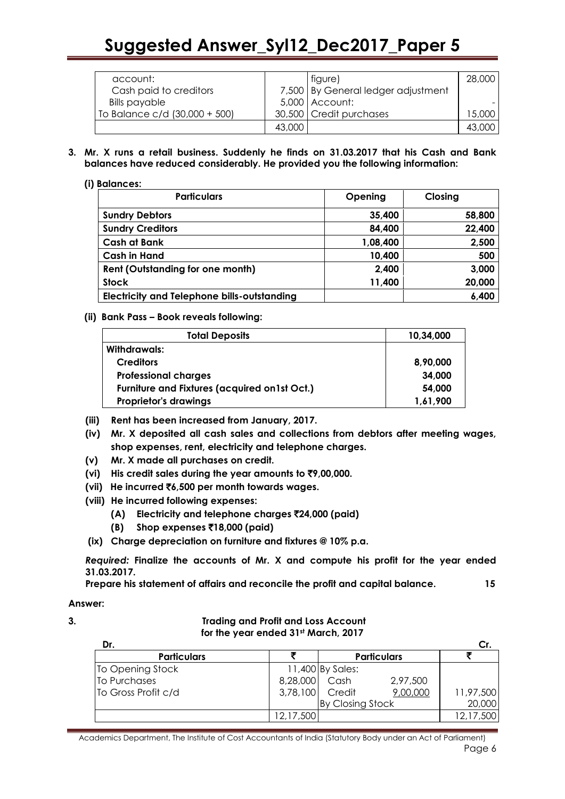| account:                      |        | figure)                            | 28,000 |
|-------------------------------|--------|------------------------------------|--------|
| Cash paid to creditors        |        | 7,500 By General ledger adjustment |        |
| <b>Bills payable</b>          |        | $5,000$ Account:                   |        |
| To Balance c/d (30,000 + 500) |        | 30,500 Credit purchases            | 15,000 |
|                               | 43,000 |                                    | 43,000 |

**3. Mr. X runs a retail business. Suddenly he finds on 31.03.2017 that his Cash and Bank balances have reduced considerably. He provided you the following information:**

### **(i) Balances:**

| <b>Particulars</b>                                 | Opening  | Closing |
|----------------------------------------------------|----------|---------|
| <b>Sundry Debtors</b>                              | 35,400   | 58,800  |
| <b>Sundry Creditors</b>                            | 84,400   | 22,400  |
| <b>Cash at Bank</b>                                | 1,08,400 | 2,500   |
| <b>Cash in Hand</b>                                | 10,400   | 500     |
| <b>Rent (Outstanding for one month)</b>            | 2,400    | 3,000   |
| <b>Stock</b>                                       | 11,400   | 20,000  |
| <b>Electricity and Telephone bills-outstanding</b> |          | 6,400   |

### **(ii) Bank Pass – Book reveals following:**

| <b>Total Deposits</b>                                | 10,34,000 |
|------------------------------------------------------|-----------|
| Withdrawals:                                         |           |
| <b>Creditors</b>                                     | 8,90,000  |
| <b>Professional charges</b>                          | 34,000    |
| <b>Furniture and Fixtures (acquired on 1st Oct.)</b> | 54,000    |
| <b>Proprietor's drawings</b>                         | 1,61,900  |

- **(iii) Rent has been increased from January, 2017.**
- **(iv) Mr. X deposited all cash sales and collections from debtors after meeting wages, shop expenses, rent, electricity and telephone charges.**
- **(v) Mr. X made all purchases on credit.**
- **(vi) His credit sales during the year amounts to** `**9,00,000.**
- **(vii) He incurred** `**6,500 per month towards wages.**
- **(viii) He incurred following expenses:**
	- **(A) Electricity and telephone charges** `**24,000 (paid)**
	- **(B) Shop expenses** `**18,000 (paid)**
- **(ix) Charge depreciation on furniture and fixtures @ 10% p.a.**

*Required:* **Finalize the accounts of Mr. X and compute his profit for the year ended 31.03.2017.**

**Prepare his statement of affairs and reconcile the profit and capital balance. 15**

**Answer:** 

**3. Trading and Profit and Loss Account for the year ended 31st March, 2017**

| Dr.                 |                 |                  |                    | Cr        |
|---------------------|-----------------|------------------|--------------------|-----------|
| <b>Particulars</b>  |                 |                  | <b>Particulars</b> |           |
| To Opening Stock    |                 | 11,400 By Sales: |                    |           |
| To Purchases        | 8,28,000 Cash   |                  | 2,97,500           |           |
| To Gross Profit c/d | 3,78,100 Credit |                  | 9,00,000           | 11,97,500 |
|                     |                 | By Closing Stock |                    | 20,000    |
|                     | 12,17,500       |                  |                    | 12,17,500 |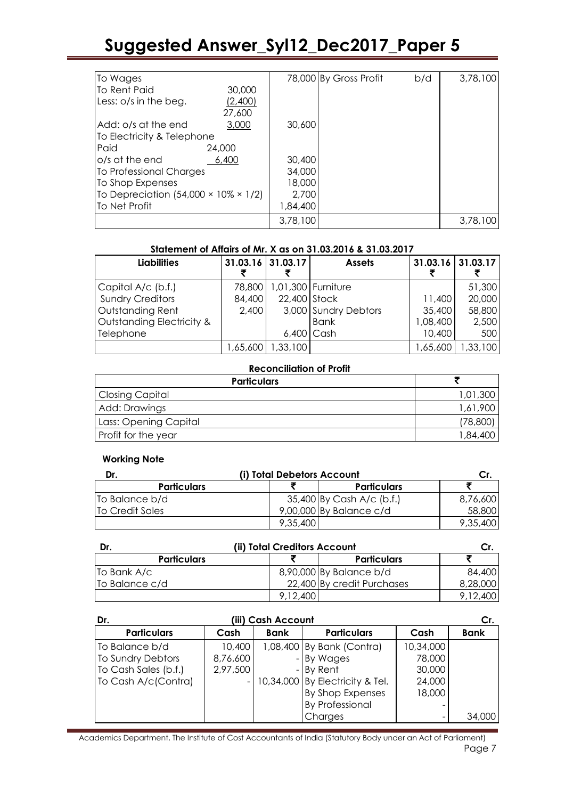| To Wages                                          |         |          | 78,000 By Gross Profit | b/d | 3,78,100 |
|---------------------------------------------------|---------|----------|------------------------|-----|----------|
| To Rent Paid                                      | 30,000  |          |                        |     |          |
| Less: o/s in the beg.                             | (2,400) |          |                        |     |          |
|                                                   | 27,600  |          |                        |     |          |
| Add: o/s at the end                               | 3,000   | 30,600   |                        |     |          |
| To Electricity & Telephone                        |         |          |                        |     |          |
| Paid                                              | 24,000  |          |                        |     |          |
| o/s at the end                                    | 6,400   | 30,400   |                        |     |          |
| To Professional Charges                           |         | 34,000   |                        |     |          |
| To Shop Expenses                                  |         | 18,000   |                        |     |          |
| To Depreciation $(54,000 \times 10\% \times 1/2)$ |         | 2,700    |                        |     |          |
| <b>To Net Profit</b>                              |         | 1,84,400 |                        |     |          |
|                                                   |         | 3,78,100 |                        |     | 3,78,100 |

### **Statement of Affairs of Mr. X as on 31.03.2016 & 31.03.2017**

| <b>Liabilities</b>        | 31.03.16 31.03.17 |              | <b>Assets</b>        | 31.03.16 31.03.17 |          |
|---------------------------|-------------------|--------------|----------------------|-------------------|----------|
| Capital A/c (b.f.)        | 78,800            |              | 1,01,300 Furniture   |                   | 51,300   |
| <b>Sundry Creditors</b>   | 84,400            | 22,400 Stock |                      | 11,400            | 20,000   |
| <b>Outstanding Rent</b>   | 2,400             |              | 3,000 Sundry Debtors | 35,400            | 58,800   |
| Outstanding Electricity & |                   |              | <b>Bank</b>          | 1,08,400          | 2,500    |
| Telephone                 |                   |              | $6,400$ Cash         | 10,400            | 500      |
|                           | ,65,600           | 1,33,100     |                      | 65,600            | 1,33,100 |

### **Reconciliation of Profit**

| <b>Particulars</b>    |           |
|-----------------------|-----------|
| Closing Capital       | 1,01,300  |
| Add: Drawings         | 1,61,900  |
| Lass: Opening Capital | (78, 800) |
| Profit for the year   | 1,84,400  |

### **Working Note**

| Dr.                | (i) Total Debetors Account |                           |          |
|--------------------|----------------------------|---------------------------|----------|
| <b>Particulars</b> |                            | <b>Particulars</b>        |          |
| To Balance b/d     |                            | 35,400 By Cash A/c (b.f.) | 8,76,600 |
| To Credit Sales    |                            | $9,00,000$ By Balance c/d | 58,800   |
|                    | 9,35,400                   |                           | 9,35,400 |

| Dr.                | (ii) Total Creditors Account |                            |          |
|--------------------|------------------------------|----------------------------|----------|
| <b>Particulars</b> |                              | <b>Particulars</b>         |          |
| To Bank A/c        |                              | 8,90,000 By Balance b/d    | 84,400   |
| To Balance c/d     |                              | 22,400 By credit Purchases | 8,28,000 |
|                    | 9.12.400                     |                            | 9.12.400 |

| Dr.                  | (iii) Cash Account |             |                                     |           | Cr.         |
|----------------------|--------------------|-------------|-------------------------------------|-----------|-------------|
| <b>Particulars</b>   | Cash               | <b>Bank</b> | <b>Particulars</b>                  | Cash      | <b>Bank</b> |
| To Balance b/d       | 10,400             |             | 1,08,400 By Bank (Contra)           | 10,34,000 |             |
| To Sundry Debtors    | 8,76,600           |             | - By Wages                          | 78,000    |             |
| To Cash Sales (b.f.) | 2,97,500           |             | $-$ By Rent                         | 30,000    |             |
| To Cash A/c(Contra)  |                    |             | $-$ 10,34,000 By Electricity & Tel. | 24,000    |             |
|                      |                    |             | By Shop Expenses                    | 18,000    |             |
|                      |                    |             | <b>By Professional</b>              |           |             |
|                      |                    |             | Charges                             |           | 34,000      |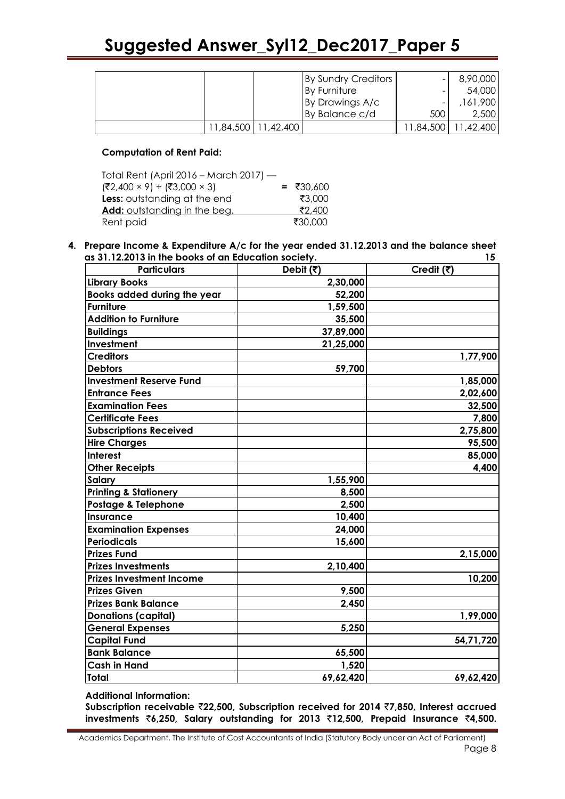|  |                       | By Sundry Creditors | $\overline{\phantom{0}}$ | 8,90,000              |
|--|-----------------------|---------------------|--------------------------|-----------------------|
|  |                       | By Furniture        |                          | 54,000                |
|  |                       | By Drawings A/c     | -                        | 161,900               |
|  |                       | By Balance c/d      | 500                      | 2,500                 |
|  | 11,84,500   11,42,400 |                     |                          | 11,84,500   11,42,400 |

### **Computation of Rent Paid:**

| Total Rent (April 2016 – March 2017) —  |             |
|-----------------------------------------|-------------|
| $(72,400 \times 9) + (73,000 \times 3)$ | $= ₹30,600$ |
| Less: outstanding at the end            | ₹3.000      |
| Add: outstanding in the beg.            | ₹2,400      |
| Rent paid                               | ₹30.000     |

#### **4. Prepare Income & Expenditure A/c for the year ended 31.12.2013 and the balance sheet as 31.12.2013 in the books of an Education society. 15**

| <b>Particulars</b>               | Debit (₹) | Credit (₹) |
|----------------------------------|-----------|------------|
| <b>Library Books</b>             | 2,30,000  |            |
| Books added during the year      | 52,200    |            |
| <b>Furniture</b>                 | 1,59,500  |            |
| <b>Addition to Furniture</b>     | 35,500    |            |
| <b>Buildings</b>                 | 37,89,000 |            |
| Investment                       | 21,25,000 |            |
| <b>Creditors</b>                 |           | 1,77,900   |
| <b>Debtors</b>                   | 59,700    |            |
| <b>Investment Reserve Fund</b>   |           | 1,85,000   |
| <b>Entrance Fees</b>             |           | 2,02,600   |
| <b>Examination Fees</b>          |           | 32,500     |
| <b>Certificate Fees</b>          |           | 7,800      |
| <b>Subscriptions Received</b>    |           | 2,75,800   |
| <b>Hire Charges</b>              |           | 95,500     |
| <b>Interest</b>                  |           | 85,000     |
| <b>Other Receipts</b>            |           | 4,400      |
| Salary                           | 1,55,900  |            |
| <b>Printing &amp; Stationery</b> | 8,500     |            |
| Postage & Telephone              | 2,500     |            |
| <b>Insurance</b>                 | 10,400    |            |
| <b>Examination Expenses</b>      | 24,000    |            |
| <b>Periodicals</b>               | 15,600    |            |
| <b>Prizes Fund</b>               |           | 2,15,000   |
| <b>Prizes Investments</b>        | 2,10,400  |            |
| <b>Prizes Investment Income</b>  |           | 10,200     |
| <b>Prizes Given</b>              | 9,500     |            |
| <b>Prizes Bank Balance</b>       | 2,450     |            |
| <b>Donations (capital)</b>       |           | 1,99,000   |
| <b>General Expenses</b>          | 5,250     |            |
| <b>Capital Fund</b>              |           | 54,71,720  |
| <b>Bank Balance</b>              | 65,500    |            |
| <b>Cash in Hand</b>              | 1,520     |            |
| <b>Total</b>                     | 69,62,420 | 69,62,420  |

**Additional Information:**

**Subscription receivable** `**22,500, Subscription received for 2014** `**7,850, Interest accrued investments** `**6,250, Salary outstanding for 2013** `**12,500, Prepaid Insurance** `**4,500.**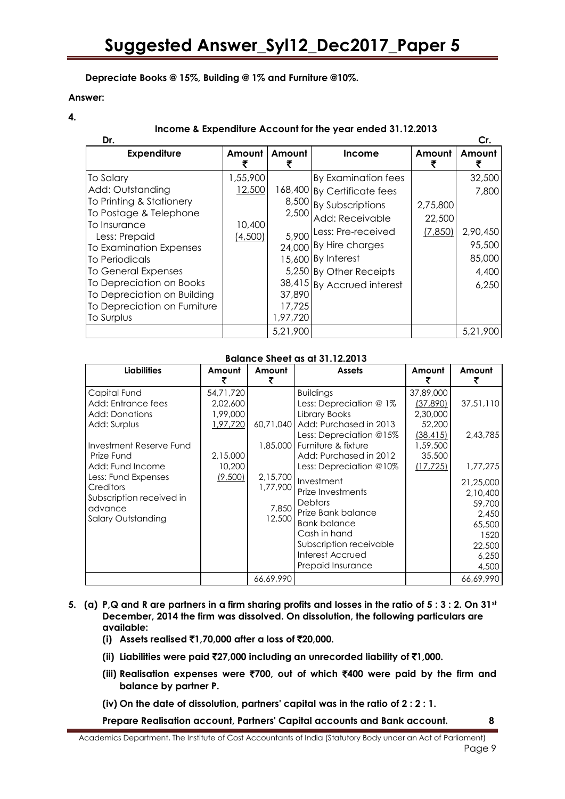### **Depreciate Books @ 15%, Building @ 1% and Furniture @10%.**

#### **Answer:**

**4.**

### **Income & Expenditure Account for the year ended 31.12.2013**

| Dr.                           |                   |          |                             |          | Cr.      |
|-------------------------------|-------------------|----------|-----------------------------|----------|----------|
| <b>Expenditure</b>            | Amount            | Amount   | Income                      | Amount   | Amount   |
| <b>To Salary</b>              | 1,55,900          |          | By Examination fees         |          | 32,500   |
| Add: Outstanding              | 12,500            |          | 168,400 By Certificate fees |          | 7,800    |
| To Printing & Stationery      |                   |          | 8,500 By Subscriptions      | 2,75,800 |          |
| To Postage & Telephone        |                   | 2,500    | Add: Receivable             | 22,500   |          |
| To Insurance<br>Less: Prepaid | 10,400<br>(4,500) | 5,900    | Less: Pre-received          | (7, 850) | 2,90,450 |
| To Examination Expenses       |                   |          | 24,000 By Hire charges      |          | 95,500   |
| To Periodicals                |                   |          | 15,600 By Interest          |          | 85,000   |
| To General Expenses           |                   |          | 5,250 By Other Receipts     |          | 4,400    |
| To Depreciation on Books      |                   |          | 38,415 By Accrued interest  |          | 6,250    |
| To Depreciation on Building   |                   | 37,890   |                             |          |          |
| To Depreciation on Furniture  |                   | 17,725   |                             |          |          |
| To Surplus                    |                   | 1,97,720 |                             |          |          |
|                               |                   | 5,21,900 |                             |          | 5,21,900 |

### **Balance Sheet as at 31.12.2013**

| <b>Liabilities</b>                                                                                                                                                                                                                 | Amount                                                                         | Amount                                  | <b>Assets</b>                                                                                                                                                                                                                                                                                                                                                                                                   | Amount                                                                                       | Amount                                                                                                                      |
|------------------------------------------------------------------------------------------------------------------------------------------------------------------------------------------------------------------------------------|--------------------------------------------------------------------------------|-----------------------------------------|-----------------------------------------------------------------------------------------------------------------------------------------------------------------------------------------------------------------------------------------------------------------------------------------------------------------------------------------------------------------------------------------------------------------|----------------------------------------------------------------------------------------------|-----------------------------------------------------------------------------------------------------------------------------|
| Capital Fund<br>Add: Entrance fees<br>Add: Donations<br>Add: Surplus<br>Investment Reserve Fund<br>Prize Fund<br>Add: Fund Income<br>Less: Fund Expenses<br>Creditors<br>Subscription received in<br>advance<br>Salary Outstanding | 54,71,720<br>2,02,600<br>1,99,000<br>1,97,720<br>2,15,000<br>10,200<br>(9,500) | 2,15,700<br>1,77,900<br>7,850<br>12,500 | <b>Buildings</b><br>Less: Depreciation @ 1%<br>Library Books<br>60,71,040   Add: Purchased in 2013<br>Less: Depreciation @15%<br>1,85,000 Furniture & fixture<br>Add: Purchased in 2012<br>Less: Depreciation @10%<br>Investment<br><b>Prize Investments</b><br><b>Debtors</b><br>Prize Bank balance<br><b>Bank balance</b><br>Cash in hand<br>Subscription receivable<br>Interest Accrued<br>Prepaid Insurance | 37,89,000<br>(37, 890)<br>2,30,000<br>52,200<br>(38, 415)<br>1,59,500<br>35,500<br>(17, 725) | 37,51,110<br>2,43,785<br>1,77,275<br>21,25,000<br>2,10,400<br>59,700<br>2.450<br>65,500<br>1520<br>22,500<br>6,250<br>4,500 |
|                                                                                                                                                                                                                                    |                                                                                | 66,69,990                               |                                                                                                                                                                                                                                                                                                                                                                                                                 |                                                                                              | 66,69,990                                                                                                                   |

### **5. (a) P,Q and R are partners in a firm sharing profits and losses in the ratio of 5 : 3 : 2. On 31st December, 2014 the firm was dissolved. On dissolution, the following particulars are available:**

- **(i) Assets realised** `**1,70,000 after a loss of** `**20,000.**
- **(ii) Liabilities were paid** `**27,000 including an unrecorded liability of** `**1,000.**
- **(iii) Realisation expenses were** `**700, out of which** `**400 were paid by the firm and balance by partner P.**
- **(iv) On the date of dissolution, partners' capital was in the ratio of 2 : 2 : 1.**

**Prepare Realisation account, Partners' Capital accounts and Bank account. 8**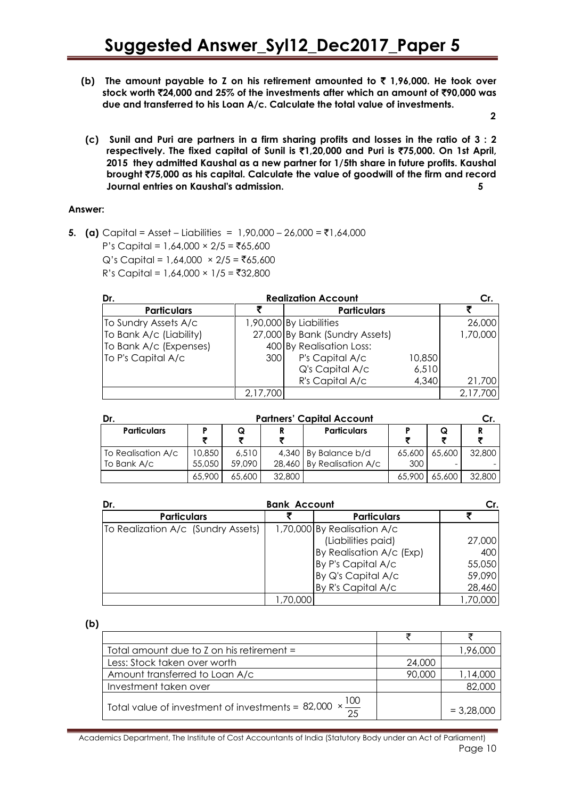**(b) The amount payable to Z on his retirement amounted to** ` **1,96,000. He took over stock worth** `**24,000 and 25% of the investments after which an amount of** `**90,000 was due and transferred to his Loan A/c. Calculate the total value of investments.** 

 **2**

**(c) Sunil and Puri are partners in a firm sharing profits and losses in the ratio of 3 : 2 respectively. The fixed capital of Sunil is** `**1,20,000 and Puri is** `**75,000. On 1st April, 2015 they admitted Kaushal as a new partner for 1/5th share in future profits. Kaushal brought** `**75,000 as his capital. Calculate the value of goodwill of the firm and record Journal entries on Kaushal's admission. 5**

### **Answer:**

**5. (a)** Capital = Asset – Liabilities = 1,90,000 – 26,000 =  $\bar{z}$ 1,64,000  $P's Capital = 1,64,000 × 2/5 = ₹65,600$  $Q's Capital = 1,64,000 \times 2/5 = ₹65,600$  $R's Capital = 1,64,000 × 1/5 = ₹32,800$ 

| Dr.                     | Cr.      |                                |        |          |  |
|-------------------------|----------|--------------------------------|--------|----------|--|
| <b>Particulars</b>      |          | <b>Particulars</b>             |        |          |  |
| To Sundry Assets A/c    |          | 1,90,000 By Liabilities        |        | 26,000   |  |
| To Bank A/c (Liability) |          | 27,000 By Bank (Sundry Assets) |        | 1,70,000 |  |
| To Bank A/c (Expenses)  |          | 400 By Realisation Loss:       |        |          |  |
| To P's Capital A/c      | 300      | P's Capital A/c                | 10,850 |          |  |
|                         |          | Q's Capital A/c                | 6,510  |          |  |
|                         |          | R's Capital A/c                | 4,340  | 21,700   |  |
|                         | 2,17,700 |                                |        | 2,17,700 |  |

| Dr.                | <b>Partners' Capital Account</b> |        |        |                           |        |        | Cr.    |
|--------------------|----------------------------------|--------|--------|---------------------------|--------|--------|--------|
| <b>Particulars</b> |                                  | Q      | R      | <b>Particulars</b>        |        |        |        |
| To Realisation A/c | 10,850                           | 6,510  |        | 4,340 By Balance b/d      | 65,600 | 65,600 | 32,800 |
| To Bank A/c        | 55,050                           | 59.090 |        | 28,460 By Realisation A/c | 300    |        |        |
|                    | 65,900                           | 65,600 | 32,800 |                           | 65,900 | 65,600 | 32,800 |

| Dr.                                | <b>Bank Account</b> |                             | Cr.     |
|------------------------------------|---------------------|-----------------------------|---------|
| <b>Particulars</b>                 |                     | <b>Particulars</b>          |         |
| To Realization A/c (Sundry Assets) |                     | 1,70,000 By Realisation A/c |         |
|                                    |                     | (Liabilities paid)          | 27,000  |
|                                    |                     | By Realisation A/c (Exp)    | 400     |
|                                    |                     | By P's Capital A/c          | 55,050  |
|                                    |                     | By Q's Capital A/c          | 59,090  |
|                                    |                     | By R's Capital A/c          | 28,460  |
|                                    | ,70,000             |                             | ,70,000 |

**(b)** 

| Total amount due to $Z$ on his retirement $=$                     |        | 1,96,000     |
|-------------------------------------------------------------------|--------|--------------|
| Less: Stock taken over worth                                      | 24,000 |              |
| Amount transferred to Loan A/c                                    | 90,000 | 1,14,000     |
| Investment taken over                                             |        | 82,000       |
| $\times$ 100<br>Total value of investment of investments = 82,000 |        | $= 3,28,000$ |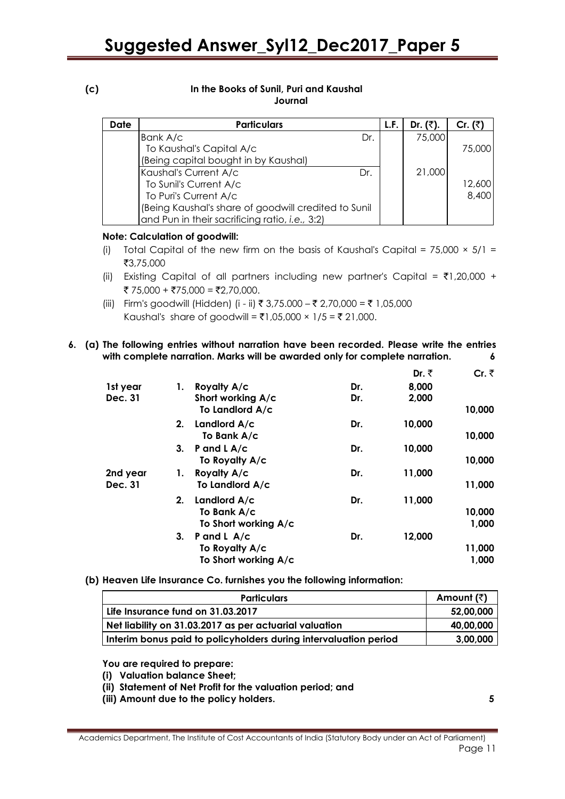#### **(c) In the Books of Sunil, Puri and Kaushal Journal**

| <b>Date</b> | <b>Particulars</b>                                   | L.F. | Dr. $(3)$ . | Cr. $(\bar{z})$ |
|-------------|------------------------------------------------------|------|-------------|-----------------|
|             | Bank A/c<br>Dr.                                      |      | 75,000      |                 |
|             | To Kaushal's Capital A/c                             |      |             | 75,000          |
|             | (Being capital bought in by Kaushal)                 |      |             |                 |
|             | Kaushal's Current A/c<br>Dr.                         |      | 21,000      |                 |
|             | To Sunil's Current A/c                               |      |             | 12,600          |
|             | To Puri's Current A/c                                |      |             | 8,400           |
|             | (Being Kaushal's share of goodwill credited to Sunil |      |             |                 |
|             | and Pun in their sacrificing ratio, i.e., 3:2)       |      |             |                 |

### **Note: Calculation of goodwill:**

- (i) Total Capital of the new firm on the basis of Kaushal's Capital =  $75,000 \times 5/1 =$ `3,75,000
- (ii) Existing Capital of all partners including new partner's Capital =  $\overline{\tau}1,20,000 +$ ₹ 75,000 + ₹75,000 = ₹2,70,000.
- (iii) Firm's goodwill (Hidden) (i ii) ₹ 3,75.000 ₹ 2,70,000 = ₹ 1,05,000 Kaushal's share of goodwill = ₹1,05,000 × 1/5 = ₹ 21,000.
- **6. (a) The following entries without narration have been recorded. Please write the entries with complete narration. Marks will be awarded only for complete narration. 6**

|          |    |                      |     | Dr. ₹  | Cr. $\bar{z}$ |
|----------|----|----------------------|-----|--------|---------------|
| 1st year | 1. | Royalty A/c          | Dr. | 8,000  |               |
| Dec. 31  |    | Short working A/c    | Dr. | 2,000  |               |
|          |    | To Landlord A/c      |     |        | 10,000        |
|          | 2. | Landlord A/c         | Dr. | 10,000 |               |
|          |    | To Bank A/c          |     |        | 10,000        |
|          | 3. | P and $L$ A/c        | Dr. | 10,000 |               |
|          |    | To Royalty A/c       |     |        | 10,000        |
| 2nd year | 1. | Royalty A/c          | Dr. | 11,000 |               |
| Dec. 31  |    | To Landlord A/c      |     |        | 11,000        |
|          | 2. | Landlord A/c         | Dr. | 11,000 |               |
|          |    | To Bank A/c          |     |        | 10,000        |
|          |    | To Short working A/c |     |        | 1,000         |
|          | 3. | P and L $A/c$        | Dr. | 12,000 |               |
|          |    | To Royalty A/c       |     |        | 11,000        |
|          |    | To Short working A/c |     |        | 1,000         |

**(b) Heaven Life Insurance Co. furnishes you the following information:** 

| <b>Particulars</b>                                               | Amount $(\bar{z})$ |
|------------------------------------------------------------------|--------------------|
| Life Insurance fund on 31.03.2017                                | 52,00,000          |
| Net liability on 31.03.2017 as per actuarial valuation           | 40,00,000          |
| Interim bonus paid to policyholders during intervaluation period | 3,00,000           |

**You are required to prepare:** 

- **(i) Valuation balance Sheet;**
- **(ii) Statement of Net Profit for the valuation period; and**
- **(iii) Amount due to the policy holders. 5**

Academics Department, The Institute of Cost Accountants of India (Statutory Body under an Act of Parliament) Page 11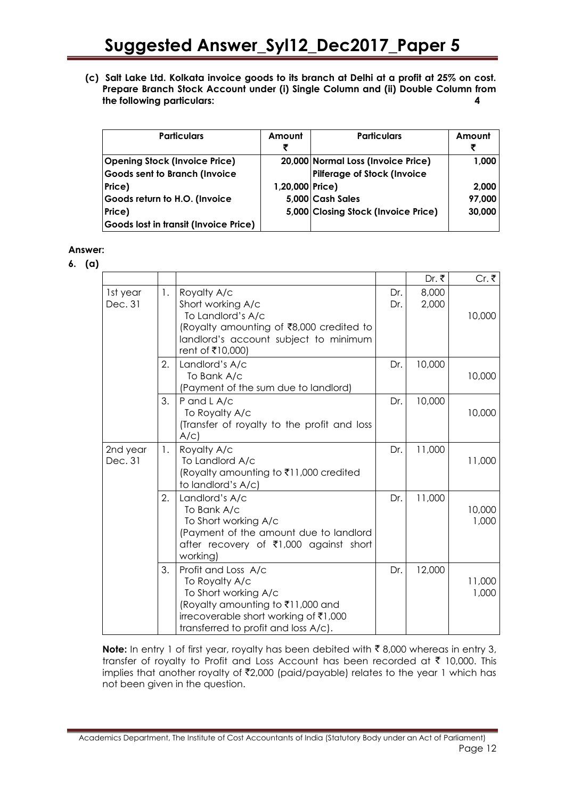**(c) Salt Lake Ltd. Kolkata invoice goods to its branch at Delhi at a profit at 25% on cost. Prepare Branch Stock Account under (i) Single Column and (ii) Double Column from the following particulars: 4**

| <b>Particulars</b>                    | Amount<br>₹     | <b>Particulars</b>                  | Amount |
|---------------------------------------|-----------------|-------------------------------------|--------|
| <b>Opening Stock (Invoice Price)</b>  |                 | 20,000 Normal Loss (Invoice Price)  | 1,000  |
| Goods sent to Branch (Invoice         |                 | Pilferage of Stock (Invoice         |        |
| Price)                                | 1,20,000 Price) |                                     | 2,000  |
| Goods return to H.O. (Invoice         |                 | 5,000 Cash Sales                    | 97,000 |
| Price)                                |                 | 5,000 Closing Stock (Invoice Price) | 30,000 |
| Goods lost in transit (Invoice Price) |                 |                                     |        |

### **Answer:**

**6. (a)**

|                     |        |                                                                                                                                                                                     |            | Dr. ₹          | Cr. ₹           |
|---------------------|--------|-------------------------------------------------------------------------------------------------------------------------------------------------------------------------------------|------------|----------------|-----------------|
| 1st year<br>Dec. 31 | 1.     | Royalty A/c<br>Short working A/c<br>To Landlord's A/c<br>(Royalty amounting of ₹8,000 credited to<br>landlord's account subject to minimum<br>rent of ₹10,000)                      | Dr.<br>Dr. | 8,000<br>2,000 | 10,000          |
|                     | 2.     | Landlord's A/c<br>To Bank A/c<br>(Payment of the sum due to landlord)                                                                                                               | Dr.        | 10,000         | 10,000          |
|                     | 3.     | P and L A/c<br>To Royalty A/c<br>(Transfer of royalty to the profit and loss<br>A/C                                                                                                 | Dr.        | 10,000         | 10,000          |
| 2nd year<br>Dec. 31 | $1\,.$ | Royalty A/c<br>To Landlord A/c<br>(Royalty amounting to ₹11,000 credited<br>to landlord's A/c)                                                                                      | Dr.        | 11,000         | 11,000          |
|                     | 2.     | Landlord's A/c<br>To Bank A/c<br>To Short working A/c<br>(Payment of the amount due to landlord<br>after recovery of ₹1,000 against short<br>working)                               | Dr.        | 11,000         | 10,000<br>1,000 |
|                     | 3.     | Profit and Loss A/c<br>To Royalty A/c<br>To Short working A/c<br>(Royalty amounting to ₹11,000 and<br>irrecoverable short working of ₹1,000<br>transferred to profit and loss A/c). | Dr.        | 12,000         | 11,000<br>1,000 |

**Note:** In entry 1 of first year, royalty has been debited with  $\bar{\tau}$  8,000 whereas in entry 3, transfer of royalty to Profit and Loss Account has been recorded at  $\bar{\tau}$  10,000. This implies that another royalty of  $\bar{\mathfrak{z}}$ 2,000 (paid/payable) relates to the year 1 which has not been given in the question.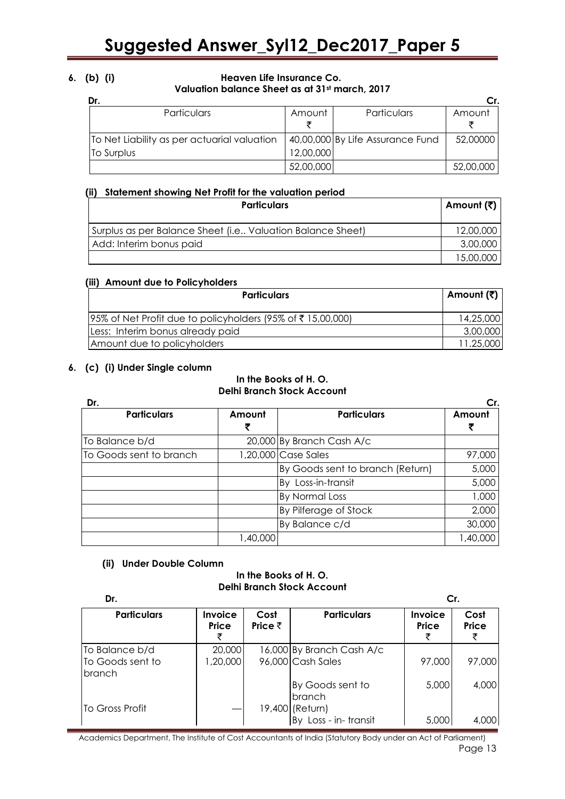### **6. (b) (i) Heaven Life Insurance Co. Valuation balance Sheet as at 31st march, 2017**

| Dr.                                         |           |                                  | Cr.       |
|---------------------------------------------|-----------|----------------------------------|-----------|
| Particulars                                 | Amount    | Particulars                      | Amount    |
|                                             |           |                                  |           |
| To Net Liability as per actuarial valuation |           | 40,00,000 By Life Assurance Fund | 52,00000  |
| To Surplus                                  | 12,00,000 |                                  |           |
|                                             | 52,00,000 |                                  | 52,00,000 |

### **(ii) Statement showing Net Profit for the valuation period**

| <b>Particulars</b>                                           | Amount (₹) |
|--------------------------------------------------------------|------------|
| Surplus as per Balance Sheet (i.e., Valuation Balance Sheet) | 12,00,000  |
| Add: Interim bonus paid                                      | 3,00,000   |
|                                                              | 15,00,000  |

### **(iii) Amount due to Policyholders**

| <b>Particulars</b>                                             | ∣ Amount (₹) |
|----------------------------------------------------------------|--------------|
| $ 95\%$ of Net Profit due to policyholders (95% of ₹15,00,000) | 14,25,000    |
| Less: Interim bonus already paid                               | 3,00,000     |
| Amount due to policyholders                                    | 11.25,000    |

### **6. (c) (i) Under Single column**

### **In the Books of H. O. Delhi Branch Stock Account**

| Dr.                     |          |                                  |          |
|-------------------------|----------|----------------------------------|----------|
| <b>Particulars</b>      | Amount   | <b>Particulars</b>               | Amount   |
| To Balance b/d          |          | 20,000 By Branch Cash A/c        |          |
| To Goods sent to branch |          | 1,20,000 Case Sales              | 97,000   |
|                         |          | By Goods sent to branch (Return) | 5,000    |
|                         |          | By Loss-in-transit               | 5,000    |
|                         |          | <b>By Normal Loss</b>            | 1,000    |
|                         |          | By Pilferage of Stock            | 2,000    |
|                         |          | By Balance c/d                   | 30,000   |
|                         | 1,40,000 |                                  | 1,40,000 |

### **(ii) Under Double Column**

#### **In the Books of H. O. Delhi Branch Stock Account**

| Dr.                                                 |                         |                         | Cr.                                            |                         |               |
|-----------------------------------------------------|-------------------------|-------------------------|------------------------------------------------|-------------------------|---------------|
| <b>Particulars</b>                                  | <b>Invoice</b><br>Price | Cost<br>Price $\bar{z}$ | <b>Particulars</b>                             | Invoice<br><b>Price</b> | Cost<br>Price |
| To Balance b/d<br>To Goods sent to<br><b>branch</b> | 20,000<br>,20,000       |                         | 16,000 By Branch Cash A/c<br>96,000 Cash Sales | 97,000                  | 97,000        |
| To Gross Profit                                     |                         |                         | By Goods sent to<br>branch<br>19,400 (Return)  | 5,000                   | 4,000         |
|                                                     |                         |                         | By Loss - in- transit                          | 5,000                   | 4,000         |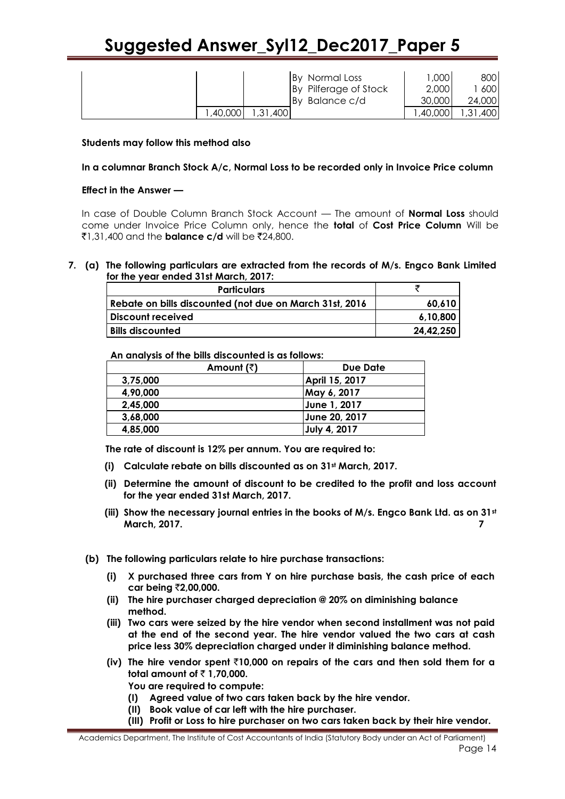|         |             | By Normal Loss        | ,000    | 8001   |
|---------|-------------|-----------------------|---------|--------|
|         |             | By Pilferage of Stock | 2,000   | 600    |
|         |             | By Balance c/d        | 30,000  | 24,000 |
| ,40,000 | ,400<br>.31 |                       | .40,000 | 31,400 |

### **Students may follow this method also**

**In a columnar Branch Stock A/c, Normal Loss to be recorded only in Invoice Price column**

### **Effect in the Answer —**

In case of Double Column Branch Stock Account — The amount of **Normal Loss** should come under Invoice Price Column only, hence the **total** of **Cost Price Column** Will be  $\bar{z}$ 1,31,400 and the **balance c/d** will be  $\bar{z}$ 24,800.

### **7. (a) The following particulars are extracted from the records of M/s. Engco Bank Limited for the year ended 31st March, 2017:**

| Rebate on bills discounted (not due on March 31st, 2016)<br>60.610 |  |
|--------------------------------------------------------------------|--|
|                                                                    |  |
| Discount received<br>6.10.800                                      |  |
| <b>Bills discounted</b><br>24.42.250                               |  |

 **An analysis of the bills discounted is as follows:** 

| Amount $(\bar{z})$ | Due Date       |
|--------------------|----------------|
| 3,75,000           | April 15, 2017 |
| 4,90,000           | May 6, 2017    |
| 2,45,000           | June 1, 2017   |
| 3,68,000           | June 20, 2017  |
| 4,85,000           | July 4, 2017   |

 **The rate of discount is 12% per annum. You are required to:** 

- **(i) Calculate rebate on bills discounted as on 31st March, 2017.**
- **(ii) Determine the amount of discount to be credited to the profit and loss account for the year ended 31st March, 2017.**
- **(iii) Show the necessary journal entries in the books of M/s. Engco Bank Ltd. as on 31st March, 2017. 7**
- **(b) The following particulars relate to hire purchase transactions:** 
	- **(i) X purchased three cars from Y on hire purchase basis, the cash price of each car being** `**2,00,000.**
	- **(ii) The hire purchaser charged depreciation @ 20% on diminishing balance method.**
	- **(iii) Two cars were seized by the hire vendor when second installment was not paid at the end of the second year. The hire vendor valued the two cars at cash price less 30% depreciation charged under it diminishing balance method.**
	- **(iv) The hire vendor spent** `**10,000 on repairs of the cars and then sold them for a total amount of ₹1,70,000.**

**You are required to compute:** 

- **(I) Agreed value of two cars taken back by the hire vendor.**
- **(II) Book value of car left with the hire purchaser.**
- **(III) Profit or Loss to hire purchaser on two cars taken back by their hire vendor.**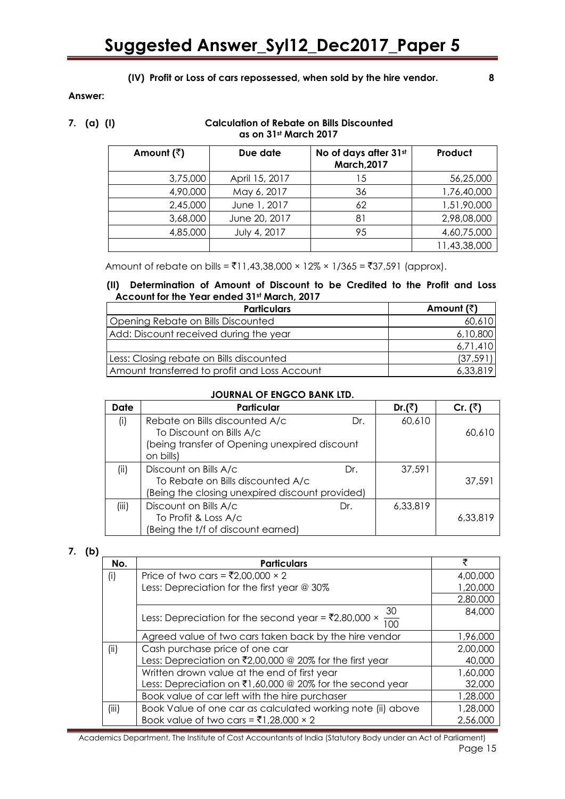### **(IV) Profit or Loss of cars repossessed, when sold by the hire vendor. 8**

### **Answer:**

### **7. (a) (I) Calculation of Rebate on Bills Discounted as on 31st March 2017**

| Amount $(\bar{z})$ | Due date       | No of days after 31st<br><b>March, 2017</b> | Product      |
|--------------------|----------------|---------------------------------------------|--------------|
| 3,75,000           | April 15, 2017 | 15                                          | 56,25,000    |
| 4,90,000           | May 6, 2017    | 36                                          | 1,76,40,000  |
| 2,45,000           | June 1, 2017   | 62                                          | 1,51,90,000  |
| 3,68,000           | June 20, 2017  | 81                                          | 2,98,08,000  |
| 4,85,000           | July 4, 2017   | 95                                          | 4,60,75,000  |
|                    |                |                                             | 11,43,38,000 |

Amount of rebate on bills =  $\overline{5}11,43,38,000 \times 12\% \times 1/365 = \overline{5}37,591$  (approx).

### **(II) Determination of Amount of Discount to be Credited to the Profit and Loss Account for the Year ended 31st March, 2017**

| <b>Particulars</b>                            | Amount (₹) |
|-----------------------------------------------|------------|
| Opening Rebate on Bills Discounted            | 60,610     |
| Add: Discount received during the year        | 6,10,800   |
|                                               | 6,71,410   |
| Less: Closing rebate on Bills discounted      | (37, 591)  |
| Amount transferred to profit and Loss Account | 6,33,819   |

### **JOURNAL OF ENGCO BANK LTD.**

| Date  | Particular                                      |     | Dr. $(3)$ | Cr. $(3)$ |
|-------|-------------------------------------------------|-----|-----------|-----------|
| (i)   | Rebate on Bills discounted A/c                  | Dr. | 60,610    |           |
|       | To Discount on Bills A/c                        |     |           | 60,610    |
|       | (being transfer of Opening unexpired discount   |     |           |           |
|       | on bills)                                       |     |           |           |
| (ii)  | Discount on Bills A/c                           | Dr. | 37,591    |           |
|       | To Rebate on Bills discounted A/c               |     |           | 37,591    |
|       | (Being the closing unexpired discount provided) |     |           |           |
| (iii) | Discount on Bills A/c                           | Dr. | 6,33,819  |           |
|       | To Profit & Loss A/c                            |     |           | 6,33,819  |
|       | (Being the t/f of discount earned)              |     |           |           |

### **7. (b)**

| No.   | <b>Particulars</b>                                                                  | ₹        |
|-------|-------------------------------------------------------------------------------------|----------|
| (i)   | Price of two cars = ₹2,00,000 $\times$ 2                                            | 4,00,000 |
|       | Less: Depreciation for the first year @ 30%                                         | 1,20,000 |
|       |                                                                                     | 2,80,000 |
|       | 30<br>Less: Depreciation for the second year = $\overline{5}2,80,000 \times$<br>100 | 84,000   |
|       | Agreed value of two cars taken back by the hire vendor                              | 1,96,000 |
| (ii)  | Cash purchase price of one car                                                      | 2,00,000 |
|       | Less: Depreciation on ₹2,00,000 @ 20% for the first year                            | 40,000   |
|       | Written drown value at the end of first year                                        | 1,60,000 |
|       | Less: Depreciation on ₹1,60,000 @ 20% for the second year                           | 32,000   |
|       | Book value of car left with the hire purchaser                                      | 1,28,000 |
| (iii) | Book Value of one car as calculated working note (ii) above                         | 1,28,000 |
|       | Book value of two cars = ₹1,28,000 $\times$ 2                                       | 2,56,000 |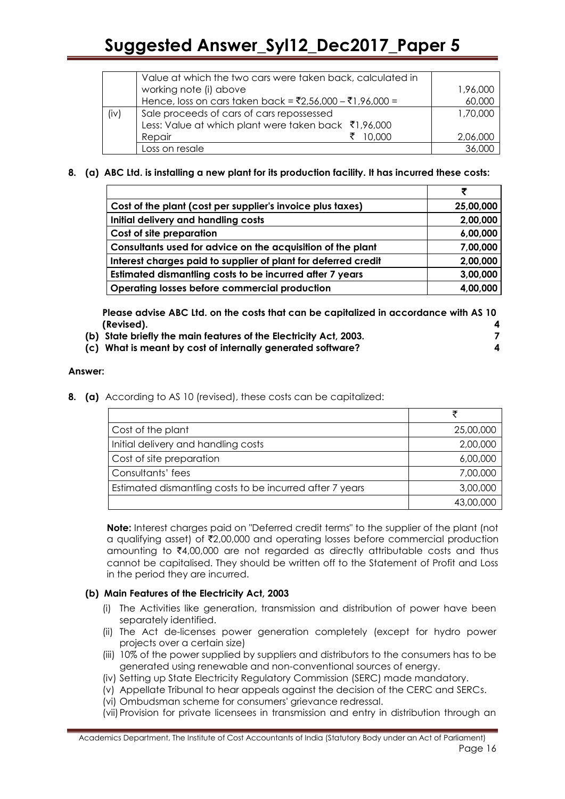|      | Value at which the two cars were taken back, calculated in |          |
|------|------------------------------------------------------------|----------|
|      | working note (i) above                                     | 1,96,000 |
|      | Hence, loss on cars taken back = ₹2,56,000 - ₹1,96,000 =   | 60,000   |
| (iv) | Sale proceeds of cars of cars repossessed                  | 1,70,000 |
|      | Less: Value at which plant were taken back ₹1,96,000       |          |
|      | Repair<br>10.000                                           | 2,06,000 |
|      | Loss on resale                                             |          |

### **8. (a) ABC Ltd. is installing a new plant for its production facility. It has incurred these costs:**

|                                                                | ₹         |
|----------------------------------------------------------------|-----------|
| Cost of the plant (cost per supplier's invoice plus taxes)     | 25,00,000 |
| Initial delivery and handling costs                            | 2,00,000  |
| Cost of site preparation                                       | 6,00,000  |
| Consultants used for advice on the acquisition of the plant    | 7,00,000  |
| Interest charges paid to supplier of plant for deferred credit | 2,00,000  |
| Estimated dismantling costs to be incurred after 7 years       | 3,00,000  |
| <b>Operating losses before commercial production</b>           | 4,00,000  |

**Please advise ABC Ltd. on the costs that can be capitalized in accordance with AS 10 (Revised). 4**

**(b) State briefly the main features of the Electricity Act, 2003. 7 (c) What is meant by cost of internally generated software? 4**

### **Answer:**

**8. (a)** According to AS 10 (revised), these costs can be capitalized:

| Cost of the plant                                        | 25,00,000 |
|----------------------------------------------------------|-----------|
| Initial delivery and handling costs                      | 2,00,000  |
| Cost of site preparation                                 | 6,00,000  |
| Consultants' fees                                        | 7,00,000  |
| Estimated dismantling costs to be incurred after 7 years | 3,00,000  |
|                                                          | 43,00,000 |

**Note:** Interest charges paid on "Deferred credit terms" to the supplier of the plant (not a qualifying asset) of  $\bar{\tau}2,00,000$  and operating losses before commercial production amounting to  $\bar{\xi}4,00,000$  are not regarded as directly attributable costs and thus cannot be capitalised. They should be written off to the Statement of Profit and Loss in the period they are incurred.

### **(b) Main Features of the Electricity Act, 2003**

- (i) The Activities like generation, transmission and distribution of power have been separately identified.
- (ii) The Act de-licenses power generation completely (except for hydro power projects over a certain size)
- (iii) 10% of the power supplied by suppliers and distributors to the consumers has to be generated using renewable and non-conventional sources of energy.
- (iv) Setting up State Electricity Regulatory Commission (SERC) made mandatory.
- (v) Appellate Tribunal to hear appeals against the decision of the CERC and SERCs.
- (vi) Ombudsman scheme for consumers' grievance redressal.
- (vii)Provision for private licensees in transmission and entry in distribution through an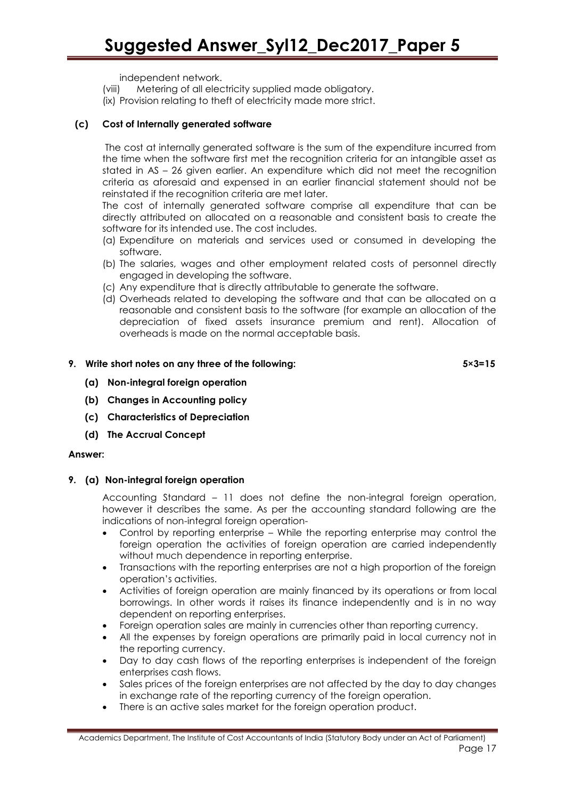independent network.

(viii) Metering of all electricity supplied made obligatory. (ix) Provision relating to theft of electricity made more strict.

### **(c) Cost of Internally generated software**

The cost at internally generated software is the sum of the expenditure incurred from the time when the software first met the recognition criteria for an intangible asset as stated in AS – 26 given earlier. An expenditure which did not meet the recognition criteria as aforesaid and expensed in an earlier financial statement should not be reinstated if the recognition criteria are met later.

The cost of internally generated software comprise all expenditure that can be directly attributed on allocated on a reasonable and consistent basis to create the software for its intended use. The cost includes.

- (a) Expenditure on materials and services used or consumed in developing the software.
- (b) The salaries, wages and other employment related costs of personnel directly engaged in developing the software.
- (c) Any expenditure that is directly attributable to generate the software.
- (d) Overheads related to developing the software and that can be allocated on a reasonable and consistent basis to the software (for example an allocation of the depreciation of fixed assets insurance premium and rent). Allocation of overheads is made on the normal acceptable basis.

### **9. Write short notes on any three of the following: 5×3=15**

- **(a) Non-integral foreign operation**
- **(b) Changes in Accounting policy**
- **(c) Characteristics of Depreciation**
- **(d) The Accrual Concept**

### **Answer:**

### **9. (a) Non-integral foreign operation**

Accounting Standard – 11 does not define the non-integral foreign operation, however it describes the same. As per the accounting standard following are the indications of non-integral foreign operation-

- Control by reporting enterprise While the reporting enterprise may control the foreign operation the activities of foreign operation are carried independently without much dependence in reporting enterprise.
- Transactions with the reporting enterprises are not a high proportion of the foreign operation's activities.
- Activities of foreign operation are mainly financed by its operations or from local borrowings. In other words it raises its finance independently and is in no way dependent on reporting enterprises.
- Foreign operation sales are mainly in currencies other than reporting currency.
- All the expenses by foreign operations are primarily paid in local currency not in the reporting currency.
- Day to day cash flows of the reporting enterprises is independent of the foreign enterprises cash flows.
- Sales prices of the foreign enterprises are not affected by the day to day changes in exchange rate of the reporting currency of the foreign operation.
- There is an active sales market for the foreign operation product.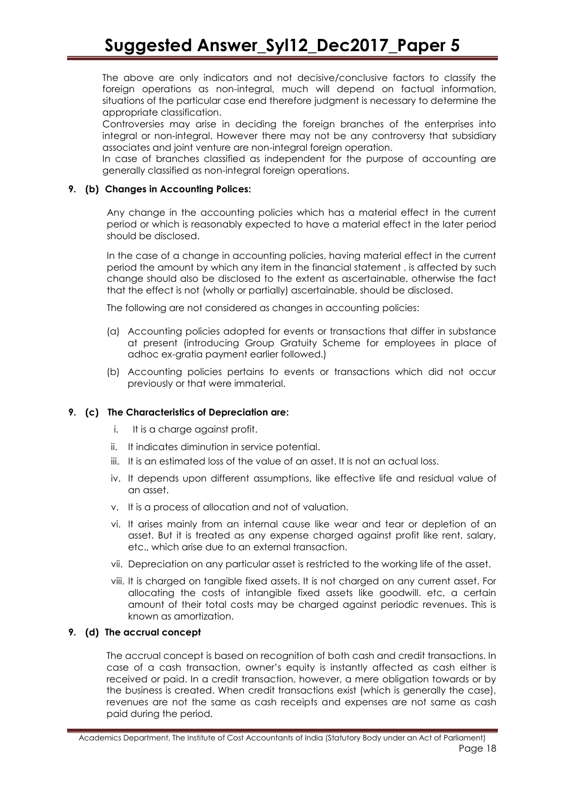The above are only indicators and not decisive/conclusive factors to classify the foreign operations as non-integral, much will depend on factual information, situations of the particular case end therefore judgment is necessary to determine the appropriate classification.

Controversies may arise in deciding the foreign branches of the enterprises into integral or non-integral. However there may not be any controversy that subsidiary associates and joint venture are non-integral foreign operation.

In case of branches classified as independent for the purpose of accounting are generally classified as non-integral foreign operations.

### **9. (b) Changes in Accounting Polices:**

Any change in the accounting policies which has a material effect in the current period or which is reasonably expected to have a material effect in the later period should be disclosed.

In the case of a change in accounting policies, having material effect in the current period the amount by which any item in the financial statement , is affected by such change should also be disclosed to the extent as ascertainable, otherwise the fact that the effect is not (wholly or partially) ascertainable, should be disclosed.

The following are not considered as changes in accounting policies:

- (a) Accounting policies adopted for events or transactions that differ in substance at present (introducing Group Gratuity Scheme for employees in place of adhoc ex-gratia payment earlier followed.)
- (b) Accounting policies pertains to events or transactions which did not occur previously or that were immaterial.

### **9. (c) The Characteristics of Depreciation are:**

- i. It is a charge against profit.
- ii. It indicates diminution in service potential.
- iii. It is an estimated loss of the value of an asset. It is not an actual loss.
- iv. It depends upon different assumptions, like effective life and residual value of an asset.
- v. It is a process of allocation and not of valuation.
- vi. It arises mainly from an internal cause like wear and tear or depletion of an asset. But it is treated as any expense charged against profit like rent, salary, etc., which arise due to an external transaction.
- vii. Depreciation on any particular asset is restricted to the working life of the asset.
- viii. It is charged on tangible fixed assets. It is not charged on any current asset. For allocating the costs of intangible fixed assets like goodwill. etc, a certain amount of their total costs may be charged against periodic revenues. This is known as amortization.

### **9. (d) The accrual concept**

The accrual concept is based on recognition of both cash and credit transactions. In case of a cash transaction, owner's equity is instantly affected as cash either is received or paid. In a credit transaction, however, a mere obligation towards or by the business is created. When credit transactions exist (which is generally the case), revenues are not the same as cash receipts and expenses are not same as cash paid during the period.

Academics Department, The Institute of Cost Accountants of India (Statutory Body under an Act of Parliament) Page 18